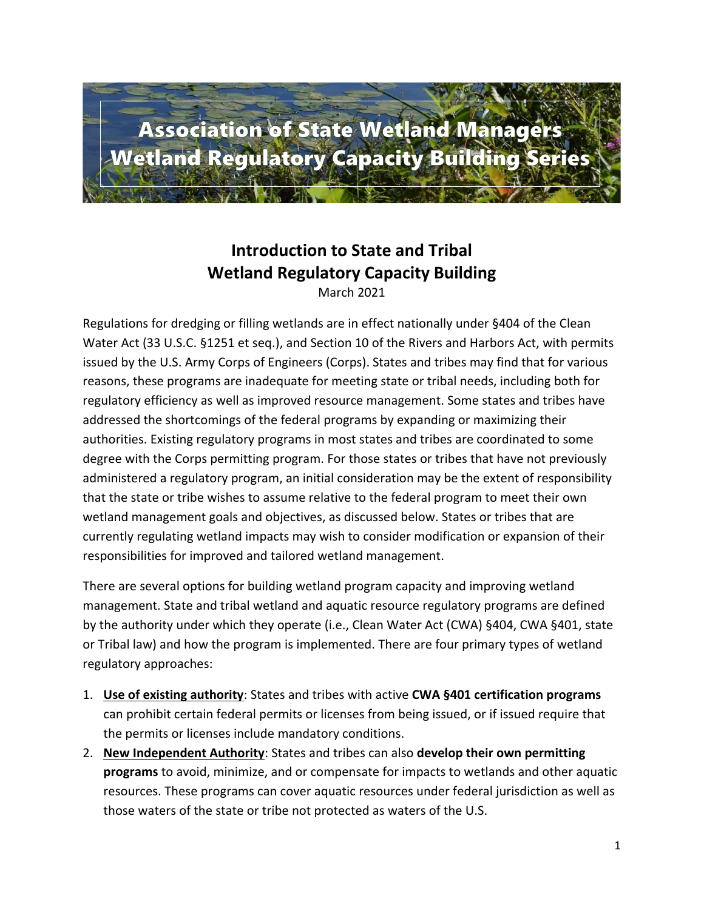

## **Introduction to State and Tribal Wetland Regulatory Capacity Building**

March 2021

Regulations for dredging or filling wetlands are in effect nationally under §404 of the Clean Water Act (33 U.S.C. §1251 et seq.), and Section 10 of the Rivers and Harbors Act, with permits issued by the U.S. Army Corps of Engineers (Corps). States and tribes may find that for various reasons, these programs are inadequate for meeting state or tribal needs, including both for regulatory efficiency as well as improved resource management. Some states and tribes have addressed the shortcomings of the federal programs by expanding or maximizing their authorities. Existing regulatory programs in most states and tribes are coordinated to some degree with the Corps permitting program. For those states or tribes that have not previously administered a regulatory program, an initial consideration may be the extent of responsibility that the state or tribe wishes to assume relative to the federal program to meet their own wetland management goals and objectives, as discussed below. States or tribes that are currently regulating wetland impacts may wish to consider modification or expansion of their responsibilities for improved and tailored wetland management.

There are several options for building wetland program capacity and improving wetland management. State and tribal wetland and aquatic resource regulatory programs are defined by the authority under which they operate (i.e., Clean Water Act (CWA) §404, CWA §401, state or Tribal law) and how the program is implemented. There are four primary types of wetland regulatory approaches:

- 1. **Use of existing authority**: States and tribes with active **CWA §401 certification programs** can prohibit certain federal permits or licenses from being issued, or if issued require that the permits or licenses include mandatory conditions.
- 2. **New Independent Authority**: States and tribes can also **develop their own permitting programs** to avoid, minimize, and or compensate for impacts to wetlands and other aquatic resources. These programs can cover aquatic resources under federal jurisdiction as well as those waters of the state or tribe not protected as waters of the U.S.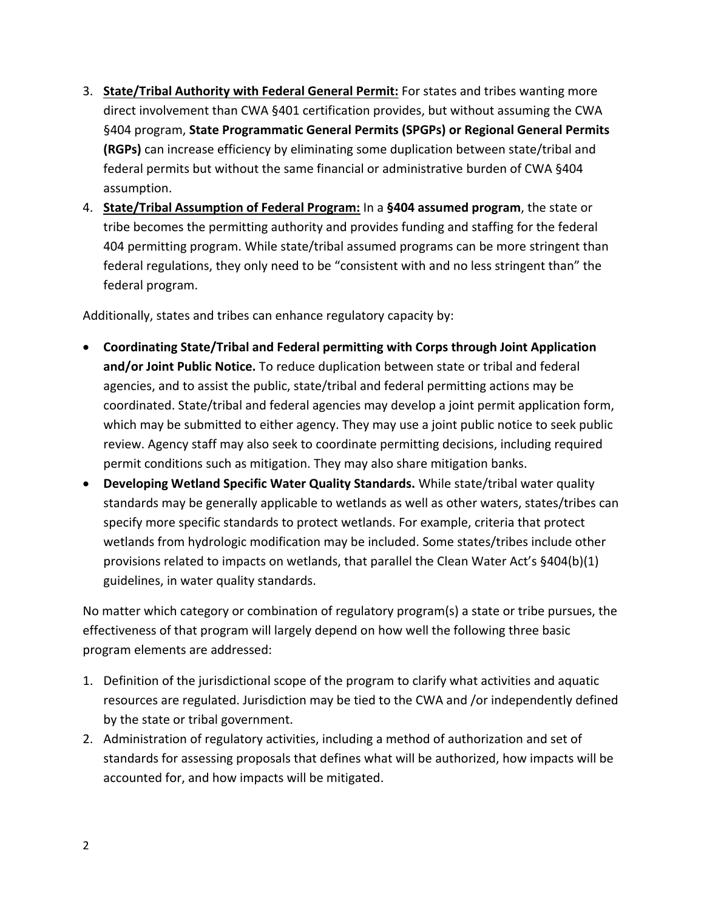- 3. **State/Tribal Authority with Federal General Permit:** For states and tribes wanting more direct involvement than CWA §401 certification provides, but without assuming the CWA §404 program, **State Programmatic General Permits (SPGPs) or Regional General Permits (RGPs)** can increase efficiency by eliminating some duplication between state/tribal and federal permits but without the same financial or administrative burden of CWA §404 assumption.
- 4. **State/Tribal Assumption of Federal Program:** In a **§404 assumed program**, the state or tribe becomes the permitting authority and provides funding and staffing for the federal 404 permitting program. While state/tribal assumed programs can be more stringent than federal regulations, they only need to be "consistent with and no less stringent than" the federal program.

Additionally, states and tribes can enhance regulatory capacity by:

- **Coordinating State/Tribal and Federal permitting with Corps through Joint Application and/or Joint Public Notice.** To reduce duplication between state or tribal and federal agencies, and to assist the public, state/tribal and federal permitting actions may be coordinated. State/tribal and federal agencies may develop a joint permit application form, which may be submitted to either agency. They may use a joint public notice to seek public review. Agency staff may also seek to coordinate permitting decisions, including required permit conditions such as mitigation. They may also share mitigation banks.
- **Developing Wetland Specific Water Quality Standards.** While state/tribal water quality standards may be generally applicable to wetlands as well as other waters, states/tribes can specify more specific standards to protect wetlands. For example, criteria that protect wetlands from hydrologic modification may be included. Some states/tribes include other provisions related to impacts on wetlands, that parallel the Clean Water Act's §404(b)(1) guidelines, in water quality standards.

No matter which category or combination of regulatory program(s) a state or tribe pursues, the effectiveness of that program will largely depend on how well the following three basic program elements are addressed:

- 1. Definition of the jurisdictional scope of the program to clarify what activities and aquatic resources are regulated. Jurisdiction may be tied to the CWA and /or independently defined by the state or tribal government.
- 2. Administration of regulatory activities, including a method of authorization and set of standards for assessing proposals that defines what will be authorized, how impacts will be accounted for, and how impacts will be mitigated.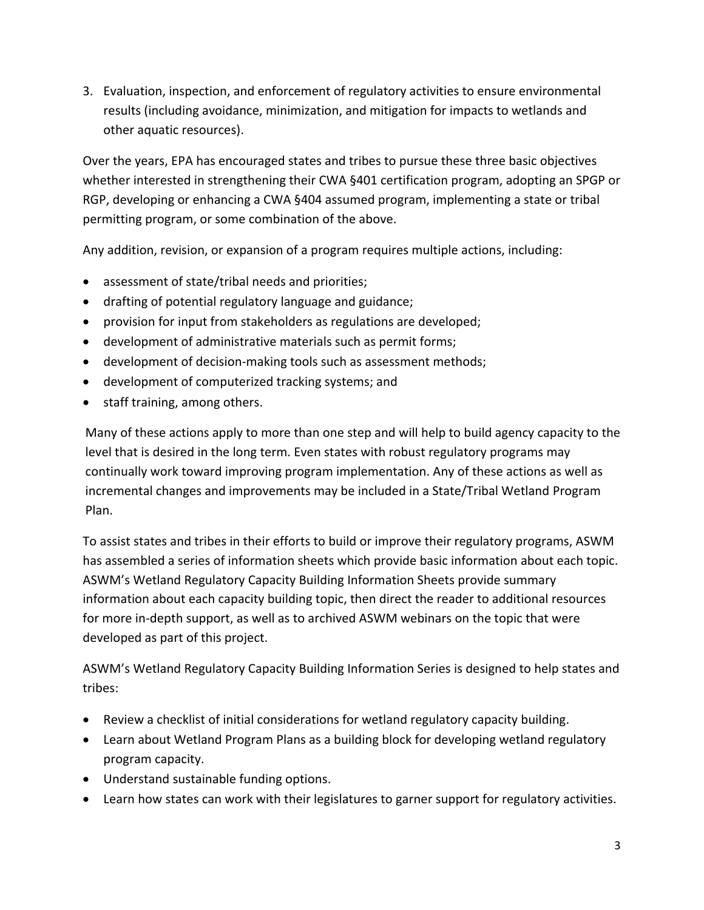3. Evaluation, inspection, and enforcement of regulatory activities to ensure environmental results (including avoidance, minimization, and mitigation for impacts to wetlands and other aquatic resources).

Over the years, EPA has encouraged states and tribes to pursue these three basic objectives whether interested in strengthening their CWA §401 certification program, adopting an SPGP or RGP, developing or enhancing a CWA §404 assumed program, implementing a state or tribal permitting program, or some combination of the above.

Any addition, revision, or expansion of a program requires multiple actions, including:

- assessment of state/tribal needs and priorities;
- drafting of potential regulatory language and guidance;
- provision for input from stakeholders as regulations are developed;
- development of administrative materials such as permit forms;
- development of decision-making tools such as assessment methods;
- development of computerized tracking systems; and
- staff training, among others.

Many of these actions apply to more than one step and will help to build agency capacity to the level that is desired in the long term. Even states with robust regulatory programs may continually work toward improving program implementation. Any of these actions as well as incremental changes and improvements may be included in a State/Tribal Wetland Program Plan.

To assist states and tribes in their efforts to build or improve their regulatory programs, ASWM has assembled a series of information sheets which provide basic information about each topic. ASWM's Wetland Regulatory Capacity Building Information Sheets provide summary information about each capacity building topic, then direct the reader to additional resources for more in-depth support, as well as to archived ASWM webinars on the topic that were developed as part of this project.

ASWM's Wetland Regulatory Capacity Building Information Series is designed to help states and tribes:

- Review a checklist of initial considerations for wetland regulatory capacity building.
- Learn about Wetland Program Plans as a building block for developing wetland regulatory program capacity.
- Understand sustainable funding options.
- Learn how states can work with their legislatures to garner support for regulatory activities.